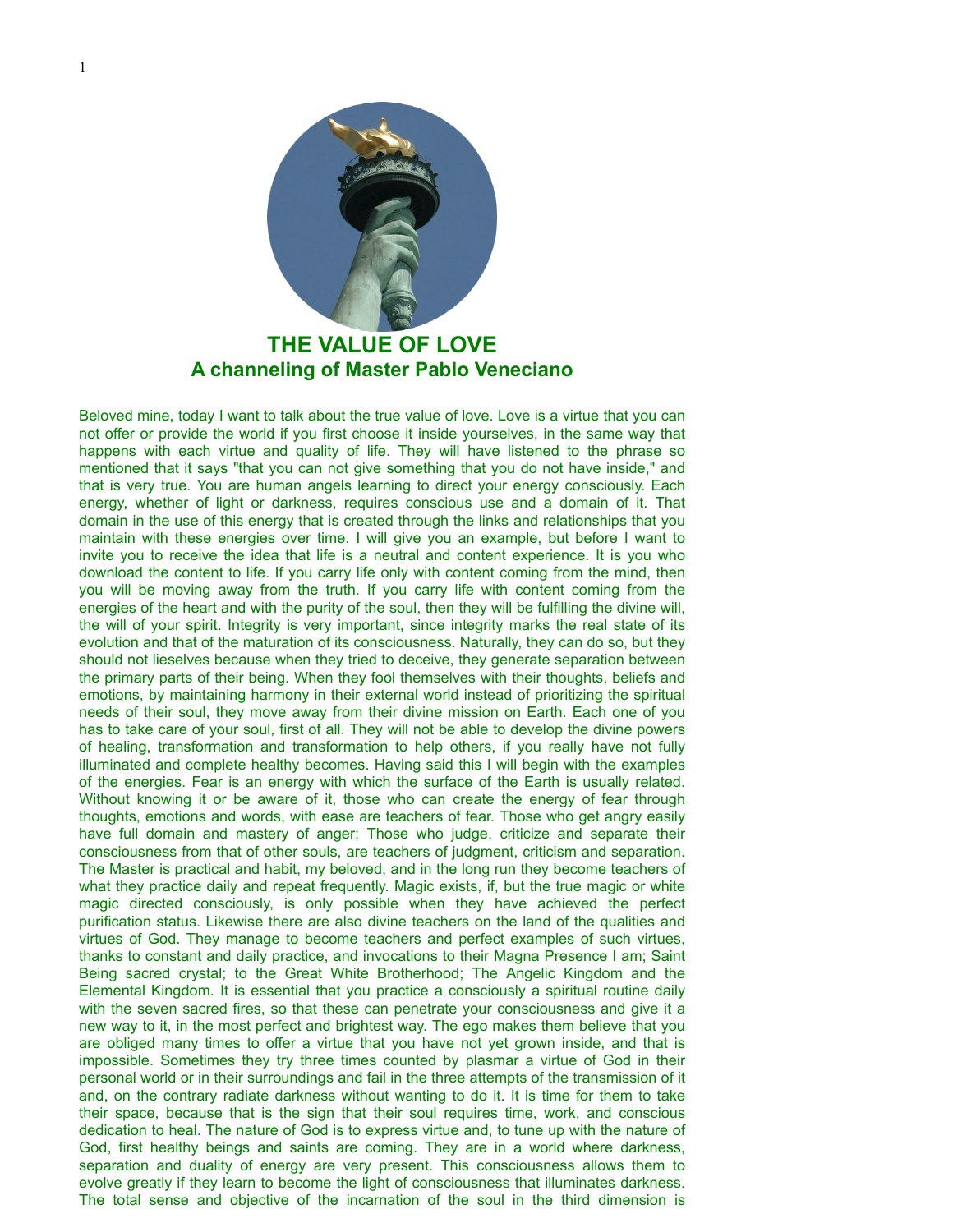

## **THE VALUE OF LOVE A channeling of Master Pablo Veneciano**

Beloved mine, today I want to talk about the true value of love. Love is a virtue that you can not offer or provide the world if you first choose it inside yourselves, in the same way that happens with each virtue and quality of life. They will have listened to the phrase so mentioned that it says "that you can not give something that you do not have inside," and that is very true. You are human angels learning to direct your energy consciously. Each energy, whether of light or darkness, requires conscious use and a domain of it. That domain in the use of this energy that is created through the links and relationships that you maintain with these energies over time. I will give you an example, but before I want to invite you to receive the idea that life is a neutral and content experience. It is you who download the content to life. If you carry life only with content coming from the mind, then you will be moving away from the truth. If you carry life with content coming from the energies of the heart and with the purity of the soul, then they will be fulfilling the divine will, the will of your spirit. Integrity is very important, since integrity marks the real state of its evolution and that of the maturation of its consciousness. Naturally, they can do so, but they should not lieselves because when they tried to deceive, they generate separation between the primary parts of their being. When they fool themselves with their thoughts, beliefs and emotions, by maintaining harmony in their external world instead of prioritizing the spiritual needs of their soul, they move away from their divine mission on Earth. Each one of you has to take care of your soul, first of all. They will not be able to develop the divine powers of healing, transformation and transformation to help others, if you really have not fully illuminated and complete healthy becomes. Having said this I will begin with the examples of the energies. Fear is an energy with which the surface of the Earth is usually related. Without knowing it or be aware of it, those who can create the energy of fear through thoughts, emotions and words, with ease are teachers of fear. Those who get angry easily have full domain and mastery of anger; Those who judge, criticize and separate their consciousness from that of other souls, are teachers of judgment, criticism and separation. The Master is practical and habit, my beloved, and in the long run they become teachers of what they practice daily and repeat frequently. Magic exists, if, but the true magic or white magic directed consciously, is only possible when they have achieved the perfect purification status. Likewise there are also divine teachers on the land of the qualities and virtues of God. They manage to become teachers and perfect examples of such virtues, thanks to constant and daily practice, and invocations to their Magna Presence I am; Saint Being sacred crystal; to the Great White Brotherhood; The Angelic Kingdom and the Elemental Kingdom. It is essential that you practice a consciously a spiritual routine daily with the seven sacred fires, so that these can penetrate your consciousness and give it a new way to it, in the most perfect and brightest way. The ego makes them believe that you are obliged many times to offer a virtue that you have not yet grown inside, and that is impossible. Sometimes they try three times counted by plasmar a virtue of God in their personal world or in their surroundings and fail in the three attempts of the transmission of it and, on the contrary radiate darkness without wanting to do it. It is time for them to take their space, because that is the sign that their soul requires time, work, and conscious dedication to heal. The nature of God is to express virtue and, to tune up with the nature of God, first healthy beings and saints are coming. They are in a world where darkness, separation and duality of energy are very present. This consciousness allows them to evolve greatly if they learn to become the light of consciousness that illuminates darkness. The total sense and objective of the incarnation of the soul in the third dimension is